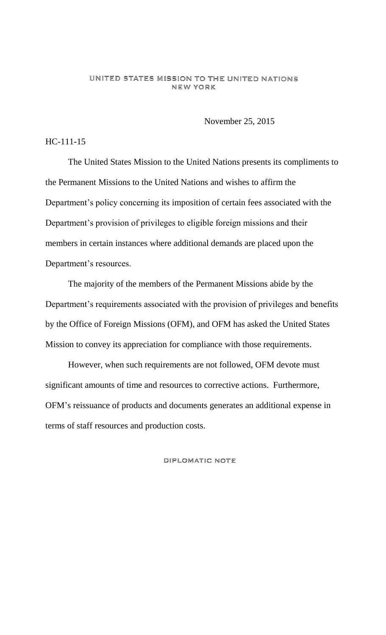### UNITED STATES MISSION TO THE UNITED NATIONS **NEW YORK**

November 25, 2015

## HC-111-15

The United States Mission to the United Nations presents its compliments to the Permanent Missions to the United Nations and wishes to affirm the Department's policy concerning its imposition of certain fees associated with the Department's provision of privileges to eligible foreign missions and their members in certain instances where additional demands are placed upon the Department's resources.

The majority of the members of the Permanent Missions abide by the Department's requirements associated with the provision of privileges and benefits by the Office of Foreign Missions (OFM), and OFM has asked the United States Mission to convey its appreciation for compliance with those requirements.

However, when such requirements are not followed, OFM devote must significant amounts of time and resources to corrective actions. Furthermore, OFM's reissuance of products and documents generates an additional expense in terms of staff resources and production costs.

DIPLOMATIC NOTE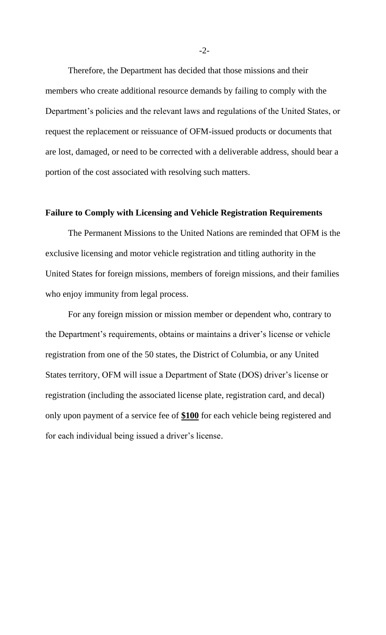Therefore, the Department has decided that those missions and their members who create additional resource demands by failing to comply with the Department's policies and the relevant laws and regulations of the United States, or request the replacement or reissuance of OFM-issued products or documents that are lost, damaged, or need to be corrected with a deliverable address, should bear a portion of the cost associated with resolving such matters.

# **Failure to Comply with Licensing and Vehicle Registration Requirements**

The Permanent Missions to the United Nations are reminded that OFM is the exclusive licensing and motor vehicle registration and titling authority in the United States for foreign missions, members of foreign missions, and their families who enjoy immunity from legal process.

For any foreign mission or mission member or dependent who, contrary to the Department's requirements, obtains or maintains a driver's license or vehicle registration from one of the 50 states, the District of Columbia, or any United States territory, OFM will issue a Department of State (DOS) driver's license or registration (including the associated license plate, registration card, and decal) only upon payment of a service fee of **\$100** for each vehicle being registered and for each individual being issued a driver's license.

-2-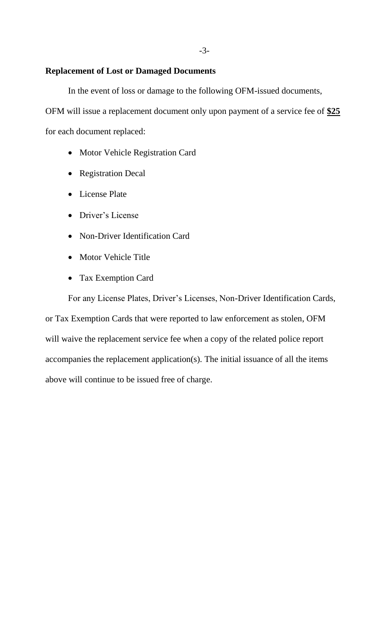### **Replacement of Lost or Damaged Documents**

In the event of loss or damage to the following OFM-issued documents,

OFM will issue a replacement document only upon payment of a service fee of **\$25** for each document replaced:

- Motor Vehicle Registration Card
- Registration Decal
- License Plate
- Driver's License
- Non-Driver Identification Card
- Motor Vehicle Title
- Tax Exemption Card

For any License Plates, Driver's Licenses, Non-Driver Identification Cards, or Tax Exemption Cards that were reported to law enforcement as stolen, OFM will waive the replacement service fee when a copy of the related police report accompanies the replacement application(s). The initial issuance of all the items above will continue to be issued free of charge.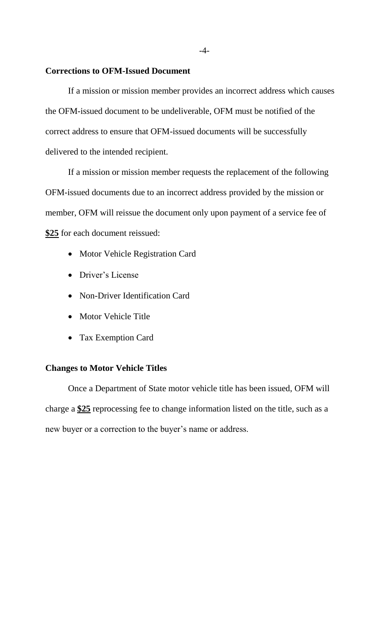### **Corrections to OFM-Issued Document**

If a mission or mission member provides an incorrect address which causes the OFM-issued document to be undeliverable, OFM must be notified of the correct address to ensure that OFM-issued documents will be successfully delivered to the intended recipient.

If a mission or mission member requests the replacement of the following OFM-issued documents due to an incorrect address provided by the mission or member, OFM will reissue the document only upon payment of a service fee of **\$25** for each document reissued:

- Motor Vehicle Registration Card
- Driver's License
- Non-Driver Identification Card
- Motor Vehicle Title
- Tax Exemption Card

## **Changes to Motor Vehicle Titles**

Once a Department of State motor vehicle title has been issued, OFM will charge a **\$25** reprocessing fee to change information listed on the title, such as a new buyer or a correction to the buyer's name or address.